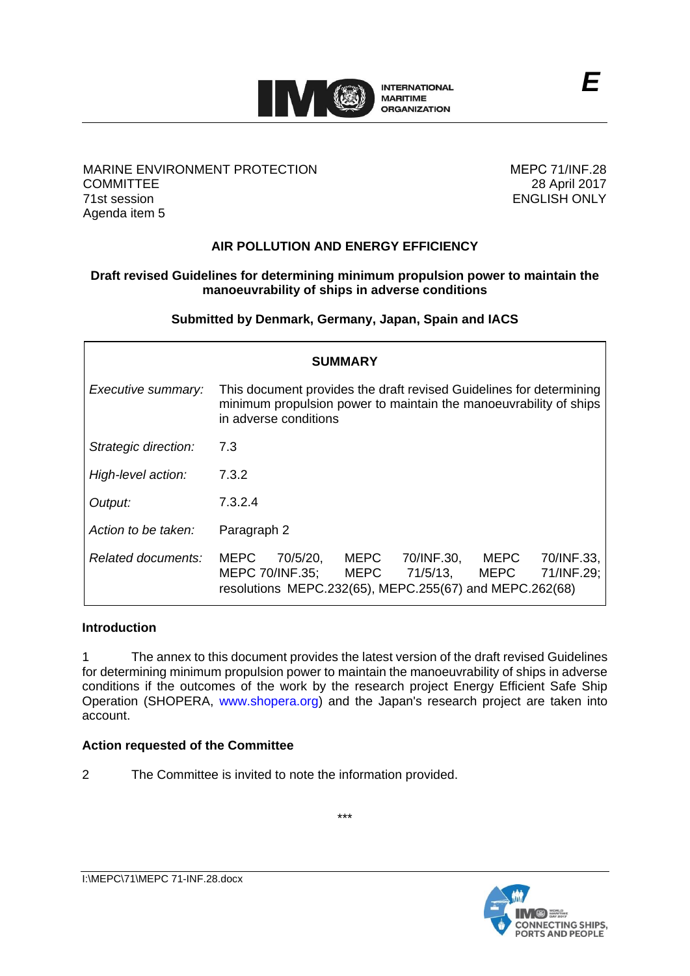

## MARINE ENVIRONMENT PROTECTION **COMMITTEE** 71st session Agenda item 5

МЕРС 71/INF.28 28 April 2017 ENGLISH ONLY

# **AIR POLLUTION AND ENERGY EFFICIENCY**

# **Draft revised Guidelines for determining minimum propulsion power to maintain the manoeuvrability of ships in adverse conditions**

**Submitted by Denmark, Germany, Japan, Spain and IACS**

| SUMMARY              |                                                                                                                                                                                                             |  |
|----------------------|-------------------------------------------------------------------------------------------------------------------------------------------------------------------------------------------------------------|--|
| Executive summary:   | This document provides the draft revised Guidelines for determining<br>minimum propulsion power to maintain the manoeuvrability of ships<br>in adverse conditions                                           |  |
| Strategic direction: | 7.3                                                                                                                                                                                                         |  |
| High-level action:   | 7.3.2                                                                                                                                                                                                       |  |
| Output:              | 7.3.2.4                                                                                                                                                                                                     |  |
| Action to be taken:  | Paragraph 2                                                                                                                                                                                                 |  |
| Related documents:   | 70/5/20,<br><b>MEPC</b><br><b>MEPC</b><br>70/INF.30,<br>70/INF.33,<br>MEPC.<br>71/5/13,<br>71/INF.29;<br>MEPC 70/INF.35;<br><b>MEPC</b><br>MEPC.<br>resolutions MEPC.232(65), MEPC.255(67) and MEPC.262(68) |  |

## **Introduction**

1 The annex to this document provides the latest version of the draft revised Guidelines for determining minimum propulsion power to maintain the manoeuvrability of ships in adverse conditions if the outcomes of the work by the research project Energy Efficient Safe Ship Operation (SHOPERA, www.shopera.org) and the Japan's research project are taken into account.

\*\*\*

## **Action requested of the Committee**

2 The Committee is invited to note the information provided.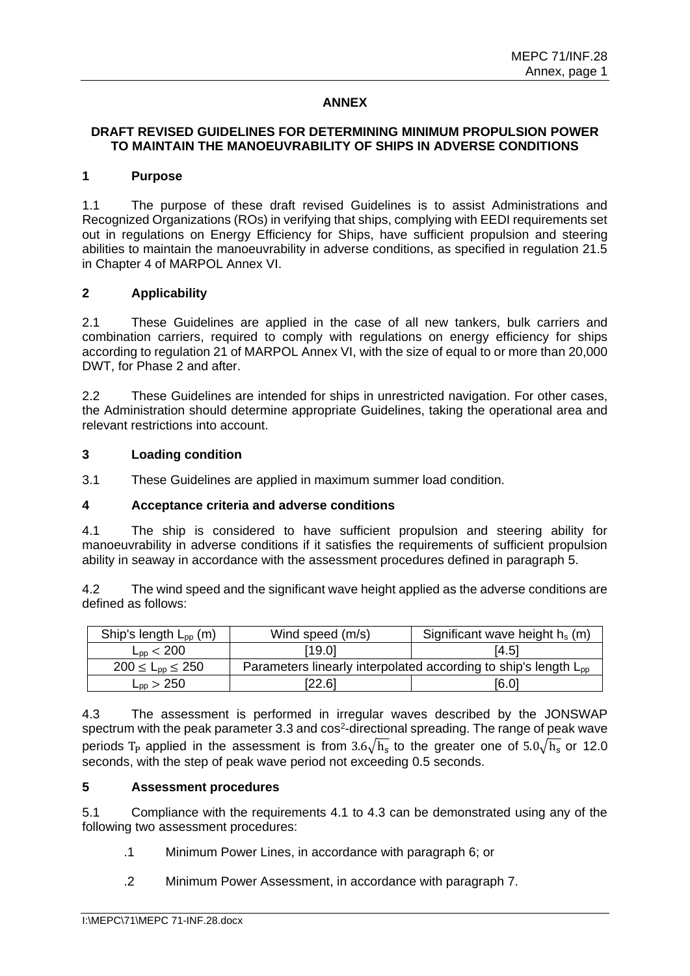# **ANNEX**

# **DRAFT REVISED GUIDELINES FOR DETERMINING MINIMUM PROPULSION POWER TO MAINTAIN THE MANOEUVRABILITY OF SHIPS IN ADVERSE CONDITIONS**

#### **1 Purpose**

1.1 The purpose of these draft revised Guidelines is to assist Administrations and Recognized Organizations (ROs) in verifying that ships, complying with EEDI requirements set out in regulations on Energy Efficiency for Ships, have sufficient propulsion and steering abilities to maintain the manoeuvrability in adverse conditions, as specified in regulation 21.5 in Chapter 4 of MARPOL Annex VI.

## **2 Applicability**

2.1 These Guidelines are applied in the case of all new tankers, bulk carriers and combination carriers, required to comply with regulations on energy efficiency for ships according to regulation 21 of MARPOL Annex VI, with the size of equal to or more than 20,000 DWT, for Phase 2 and after.

2.2 These Guidelines are intended for ships in unrestricted navigation. For other cases, the Administration should determine appropriate Guidelines, taking the operational area and relevant restrictions into account.

## **3 Loading condition**

3.1 These Guidelines are applied in maximum summer load condition.

#### **4 Acceptance criteria and adverse conditions**

4.1 The ship is considered to have sufficient propulsion and steering ability for manoeuvrability in adverse conditions if it satisfies the requirements of sufficient propulsion ability in seaway in accordance with the assessment procedures defined in paragraph 5.

4.2 The wind speed and the significant wave height applied as the adverse conditions are defined as follows:

| Ship's length $L_{\text{pp}}$ (m) | Wind speed (m/s)                                                            | Significant wave height $h_s(m)$ |  |
|-----------------------------------|-----------------------------------------------------------------------------|----------------------------------|--|
| $L_{\rm{op}}$ < 200               | [19.0]                                                                      | [4.5]                            |  |
| $200 \le L_{\text{DD}} \le 250$   | Parameters linearly interpolated according to ship's length L <sub>pp</sub> |                                  |  |
| $\mathsf{L}_{\mathsf{pp}}>250$    | [22.6]                                                                      | [6.0]                            |  |

4.3 The assessment is performed in irregular waves described by the JONSWAP spectrum with the peak parameter 3.3 and cos<sup>2</sup>-directional spreading. The range of peak wave periods T<sub>P</sub> applied in the assessment is from 3.6 $\sqrt{h_s}$  to the greater one of 5.0 $\sqrt{h_s}$  or 12.0 seconds, with the step of peak wave period not exceeding 0.5 seconds.

## **5 Assessment procedures**

5.1 Compliance with the requirements 4.1 to 4.3 can be demonstrated using any of the following two assessment procedures:

- .1 Minimum Power Lines, in accordance with paragraph 6; or
- .2 Minimum Power Assessment, in accordance with paragraph 7.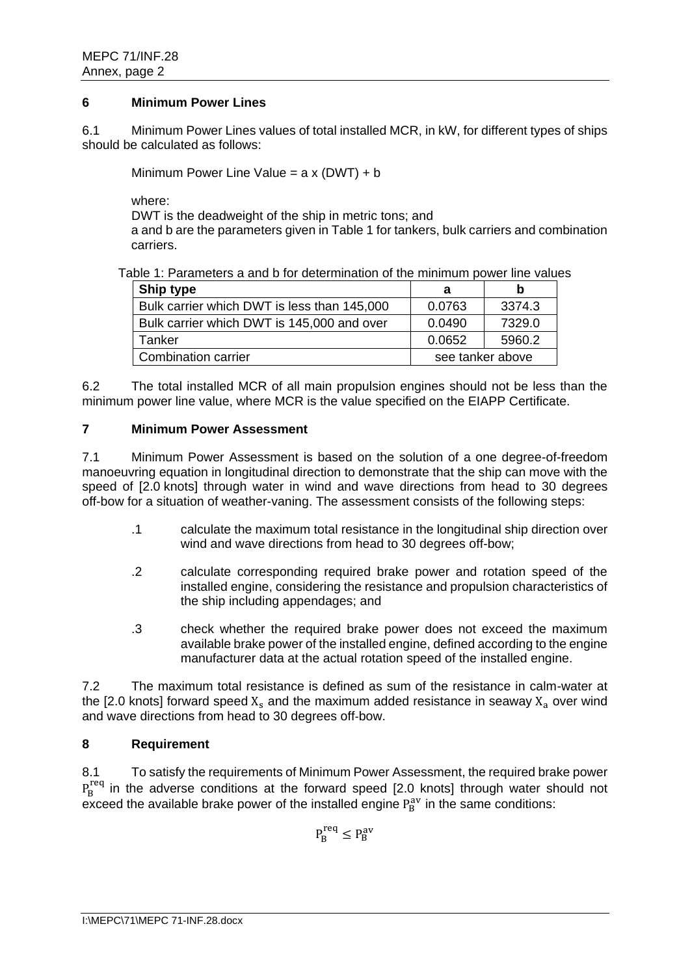## **6 Minimum Power Lines**

6.1 Minimum Power Lines values of total installed MCR, in kW, for different types of ships should be calculated as follows:

Minimum Power Line Value =  $a \times (DWT) + b$ 

where:

DWT is the deadweight of the ship in metric tons; and

a and b are the parameters given in Table 1 for tankers, bulk carriers and combination carriers.

Table 1: Parameters a and b for determination of the minimum power line values

| <b>Ship type</b>                            | а                | b      |
|---------------------------------------------|------------------|--------|
| Bulk carrier which DWT is less than 145,000 | 0.0763           | 3374.3 |
| Bulk carrier which DWT is 145,000 and over  | 0.0490           | 7329.0 |
| Tanker                                      | 0.0652           | 5960.2 |
| <b>Combination carrier</b>                  | see tanker above |        |

6.2 The total installed MCR of all main propulsion engines should not be less than the minimum power line value, where MCR is the value specified on the EIAPP Certificate.

## **7 Minimum Power Assessment**

7.1 Minimum Power Assessment is based on the solution of a one degree-of-freedom manoeuvring equation in longitudinal direction to demonstrate that the ship can move with the speed of [2.0 knots] through water in wind and wave directions from head to 30 degrees off-bow for a situation of weather-vaning. The assessment consists of the following steps:

- .1 calculate the maximum total resistance in the longitudinal ship direction over wind and wave directions from head to 30 degrees off-bow;
- .2 calculate corresponding required brake power and rotation speed of the installed engine, considering the resistance and propulsion characteristics of the ship including appendages; and
- .3 check whether the required brake power does not exceed the maximum available brake power of the installed engine, defined according to the engine manufacturer data at the actual rotation speed of the installed engine.

7.2 The maximum total resistance is defined as sum of the resistance in calm-water at the [2.0 knots] forward speed  $X_s$  and the maximum added resistance in seaway  $X_a$  over wind and wave directions from head to 30 degrees off-bow.

## **8 Requirement**

8.1 To satisfy the requirements of Minimum Power Assessment, the required brake power  $P_B^{\text{req}}$  in the adverse conditions at the forward speed [2.0 knots] through water should not exceed the available brake power of the installed engine  $P_B^{av}$  in the same conditions:

$$
P_B^{req} \leq P_B^{av}
$$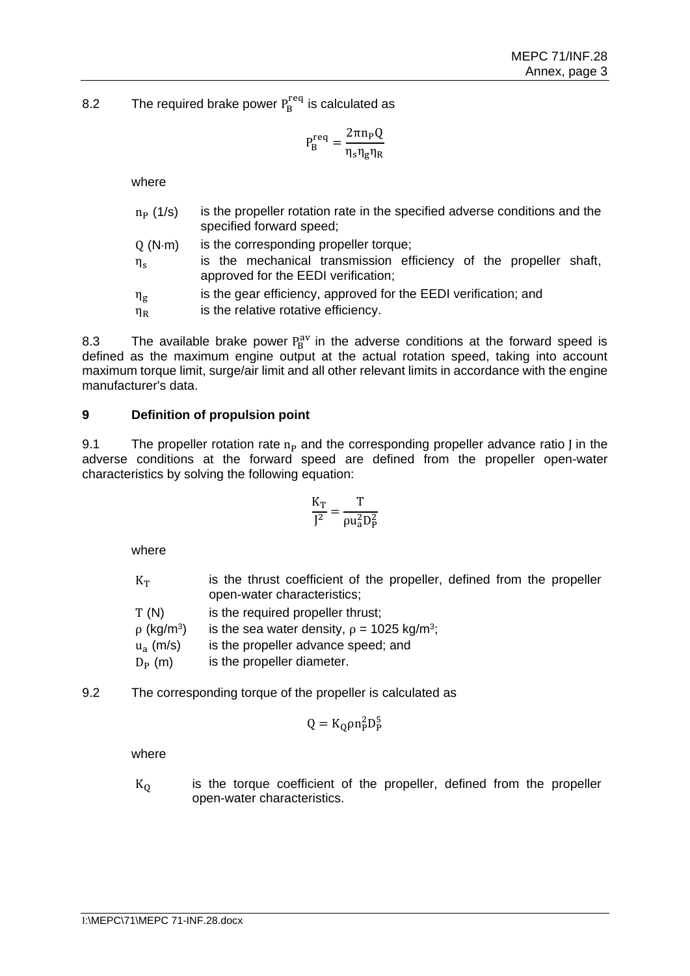8.2 The required brake power  $P_B^{\text{req}}$  is calculated as

$$
P_B^{\text{req}} = \frac{2\pi n_P Q}{\eta_s \eta_g \eta_R}
$$

where

| $n_{P}$ (1/s)  | is the propeller rotation rate in the specified adverse conditions and the<br>specified forward speed;   |
|----------------|----------------------------------------------------------------------------------------------------------|
| O(N·m)         | is the corresponding propeller torque;                                                                   |
| $\eta_{\rm c}$ | is the mechanical transmission efficiency of the propeller shaft,<br>approved for the EEDI verification; |

 $\eta_{\mathfrak{g}}$ is the gear efficiency, approved for the EEDI verification; and

 $\eta_R$  is the relative rotative efficiency.

8.3 The available brake power  $P_B^{av}$  in the adverse conditions at the forward speed is defined as the maximum engine output at the actual rotation speed, taking into account maximum torque limit, surge/air limit and all other relevant limits in accordance with the engine manufacturer's data.

# **9 Definition of propulsion point**

9.1 The propeller rotation rate  $n_P$  and the corresponding propeller advance ratio J in the adverse conditions at the forward speed are defined from the propeller open-water characteristics by solving the following equation:

$$
\frac{K_T}{J^2}=\frac{T}{\rho u_a^2D_P^2}
$$

where

| $K_T$                       | is the thrust coefficient of the propeller, defined from the propeller<br>open-water characteristics; |
|-----------------------------|-------------------------------------------------------------------------------------------------------|
| T(N)                        | is the required propeller thrust;                                                                     |
| $\rho$ (kg/m <sup>3</sup> ) | is the sea water density, $\rho = 1025 \text{ kg/m}^3$ ;                                              |
| $u_a$ (m/s)                 | is the propeller advance speed; and                                                                   |
| $D_{\rm p}$ (m)             | is the propeller diameter.                                                                            |

9.2 The corresponding torque of the propeller is calculated as

$$
Q = K_Q \rho n_P^2 D_P^5
$$

where

 $K<sub>0</sub>$  is the torque coefficient of the propeller, defined from the propeller open-water characteristics.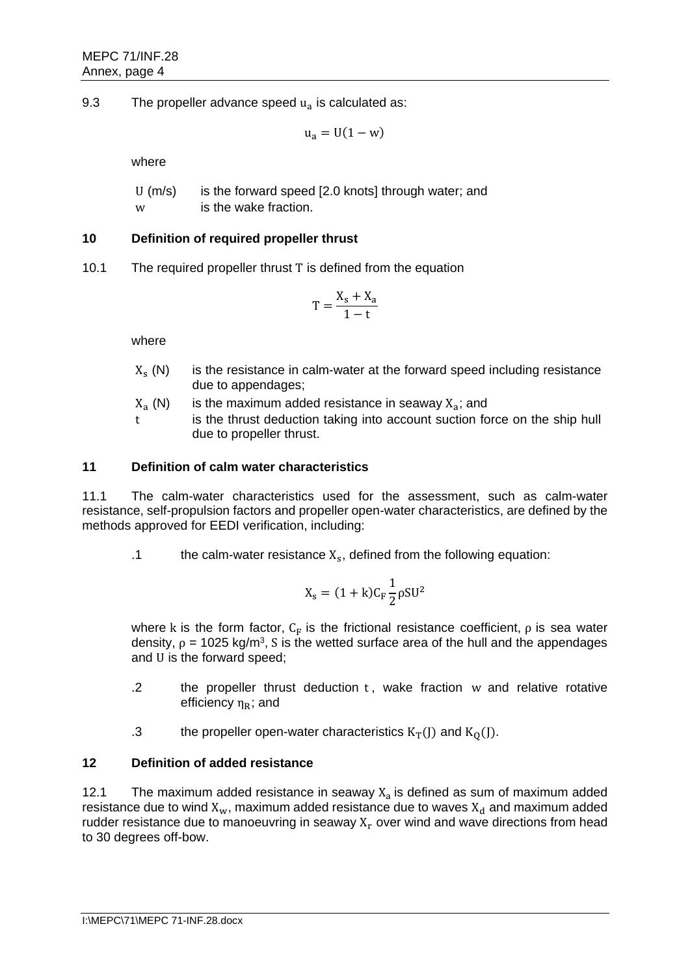9.3 The propeller advance speed  $u_a$  is calculated as:

$$
u_a = U(1 - w)
$$

where

| U (m/s) | is the forward speed [2.0 knots] through water; and |
|---------|-----------------------------------------------------|
| w       | is the wake fraction.                               |

# **10 Definition of required propeller thrust**

10.1 The required propeller thrust T is defined from the equation

$$
T = \frac{X_s + X_a}{1 - t}
$$

where

- $X_s(N)$ is the resistance in calm-water at the forward speed including resistance due to appendages;
- $X_a(N)$ (N) is the maximum added resistance in seaway  $X_a$ ; and
- t is the thrust deduction taking into account suction force on the ship hull due to propeller thrust.

## **11 Definition of calm water characteristics**

11.1 The calm-water characteristics used for the assessment, such as calm-water resistance, self-propulsion factors and propeller open-water characteristics, are defined by the methods approved for EEDI verification, including:

.1 the calm-water resistance  $X_s$ , defined from the following equation:

$$
X_s = (1 + k)C_F \frac{1}{2} \rho S U^2
$$

where k is the form factor,  $C_F$  is the frictional resistance coefficient,  $\rho$  is sea water density,  $\rho = 1025 \text{ kg/m}^3$ , S is the wetted surface area of the hull and the appendages and U is the forward speed;

- .2 the propeller thrust deduction  $t$ , wake fraction  $w$  and relative rotative efficiency  $\eta_R$ ; and
- .3 the propeller open-water characteristics  $K_T(J)$  and  $K_Q(J)$ .

## **12 Definition of added resistance**

12.1 The maximum added resistance in seaway  $X_a$  is defined as sum of maximum added resistance due to wind  $X_w$ , maximum added resistance due to waves  $X_d$  and maximum added rudder resistance due to manoeuvring in seaway  $X<sub>r</sub>$  over wind and wave directions from head to 30 degrees off-bow.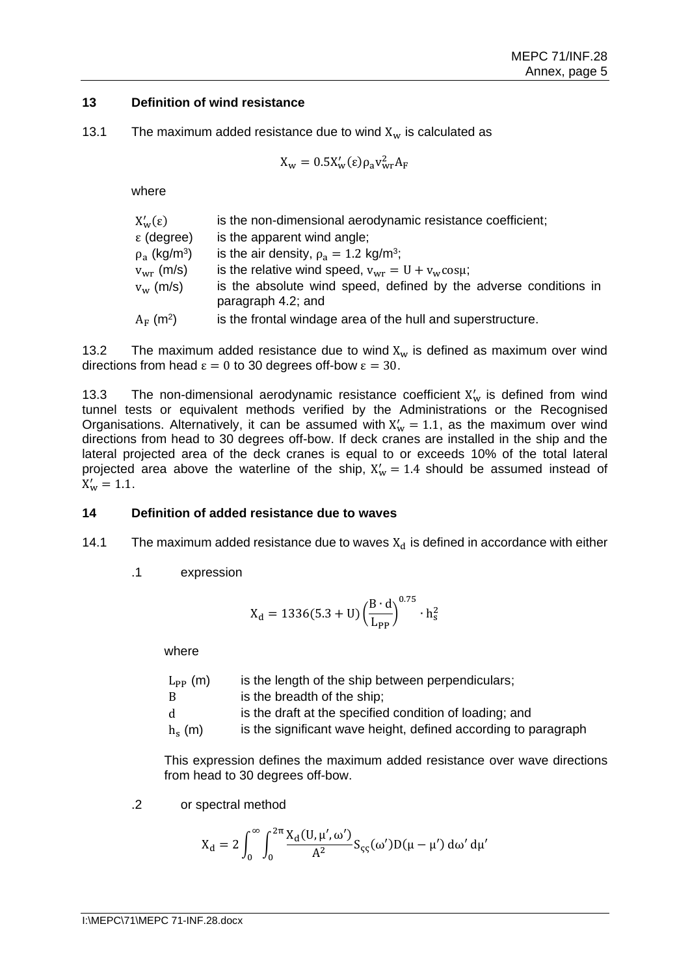#### **13 Definition of wind resistance**

13.1 The maximum added resistance due to wind  $X_w$  is calculated as

$$
X_{\rm w}=0.5X_{\rm w}'(\epsilon)\rho_{\rm a}v_{\rm wr}^2A_{\rm F}
$$

where

| $X_{w}^{\prime}(\epsilon)$    | is the non-dimensional aerodynamic resistance coefficient;                             |
|-------------------------------|----------------------------------------------------------------------------------------|
| $\epsilon$ (degree)           | is the apparent wind angle;                                                            |
| $\rho_a$ (kg/m <sup>3</sup> ) | is the air density, $\rho_a = 1.2 \text{ kg/m}^3$ ;                                    |
| $v_{\rm wr}$ (m/s)            | is the relative wind speed, $v_{wr} = U + v_w \cos \mu$ ;                              |
| $v_w$ (m/s)                   | is the absolute wind speed, defined by the adverse conditions in<br>paragraph 4.2; and |
| $A_F$ (m <sup>2</sup> )       | is the frontal windage area of the hull and superstructure.                            |

13.2 The maximum added resistance due to wind  $X_w$  is defined as maximum over wind directions from head  $\epsilon = 0$  to 30 degrees off-bow  $\epsilon = 30$ .

13.3 The non-dimensional aerodynamic resistance coefficient  $X'_w$  is defined from wind tunnel tests or equivalent methods verified by the Administrations or the Recognised Organisations. Alternatively, it can be assumed with  $X'_w = 1.1$ , as the maximum over wind directions from head to 30 degrees off-bow. If deck cranes are installed in the ship and the lateral projected area of the deck cranes is equal to or exceeds 10% of the total lateral projected area above the waterline of the ship,  $X'_w = 1.4$  should be assumed instead of  $X'_w = 1.1$ .

#### **14 Definition of added resistance due to waves**

- 14.1 The maximum added resistance due to waves  $X_d$  is defined in accordance with either
	- .1 expression

$$
X_{d} = 1336(5.3 + U) \left(\frac{B \cdot d}{L_{PP}}\right)^{0.75} \cdot h_{s}^{2}
$$

where

| $L_{\rm PP}$ (m) | is the length of the ship between perpendiculars;              |
|------------------|----------------------------------------------------------------|
| B                | is the breadth of the ship;                                    |
| d                | is the draft at the specified condition of loading; and        |
| $hs$ (m)         | is the significant wave height, defined according to paragraph |

This expression defines the maximum added resistance over wave directions from head to 30 degrees off-bow.

.2 or spectral method

$$
X_d = 2\int_0^\infty \int_0^{2\pi} \! \frac{X_d(U,\mu',\omega')}{A^2} S_{\varsigma\varsigma}(\omega') D(\mu-\mu')\,d\omega'\,d\mu'
$$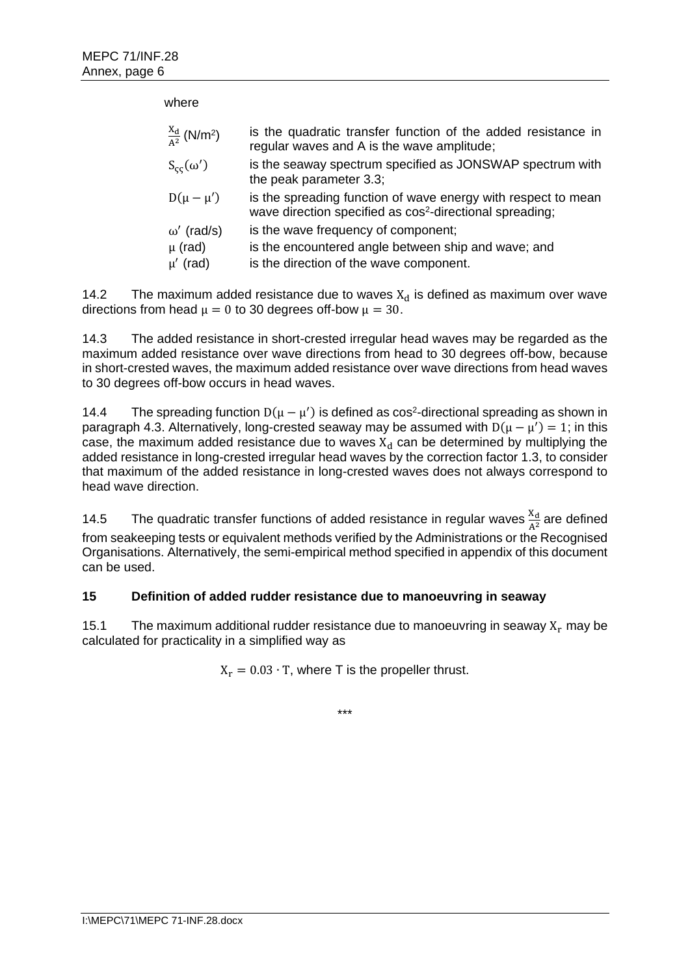| where                                 |                                                                                                                                       |
|---------------------------------------|---------------------------------------------------------------------------------------------------------------------------------------|
| $\frac{X_d}{4^2}$ (N/m <sup>2</sup> ) | is the quadratic transfer function of the added resistance in<br>regular waves and A is the wave amplitude;                           |
| $S_{cc}(\omega')$                     | is the seaway spectrum specified as JONSWAP spectrum with<br>the peak parameter 3.3;                                                  |
| $D(\mu - \mu')$                       | is the spreading function of wave energy with respect to mean<br>wave direction specified as cos <sup>2</sup> -directional spreading; |
| $\omega'$ (rad/s)                     | is the wave frequency of component;                                                                                                   |
| $\mu$ (rad)                           | is the encountered angle between ship and wave; and                                                                                   |
| $\mu'$ (rad)                          | is the direction of the wave component.                                                                                               |

14.2 The maximum added resistance due to waves  $X_d$  is defined as maximum over wave directions from head  $\mu = 0$  to 30 degrees off-bow  $\mu = 30$ .

14.3 The added resistance in short-crested irregular head waves may be regarded as the maximum added resistance over wave directions from head to 30 degrees off-bow, because in short-crested waves, the maximum added resistance over wave directions from head waves to 30 degrees off-bow occurs in head waves.

14.4 The spreading function  $D(\mu - \mu')$  is defined as cos<sup>2</sup>-directional spreading as shown in paragraph 4.3. Alternatively, long-crested seaway may be assumed with  $D(\mu - \mu') = 1$ ; in this case, the maximum added resistance due to waves  $X_d$  can be determined by multiplying the added resistance in long-crested irregular head waves by the correction factor 1.3, to consider that maximum of the added resistance in long-crested waves does not always correspond to head wave direction.

14.5 The quadratic transfer functions of added resistance in regular waves  $\frac{x_d}{A^2}$  are defined from seakeeping tests or equivalent methods verified by the Administrations or the Recognised Organisations. Alternatively, the semi-empirical method specified in appendix of this document can be used.

## **15 Definition of added rudder resistance due to manoeuvring in seaway**

15.1 The maximum additional rudder resistance due to manoeuvring in seaway  $X_r$  may be calculated for practicality in a simplified way as

 $X_r = 0.03 \cdot T$ , where T is the propeller thrust.

\*\*\*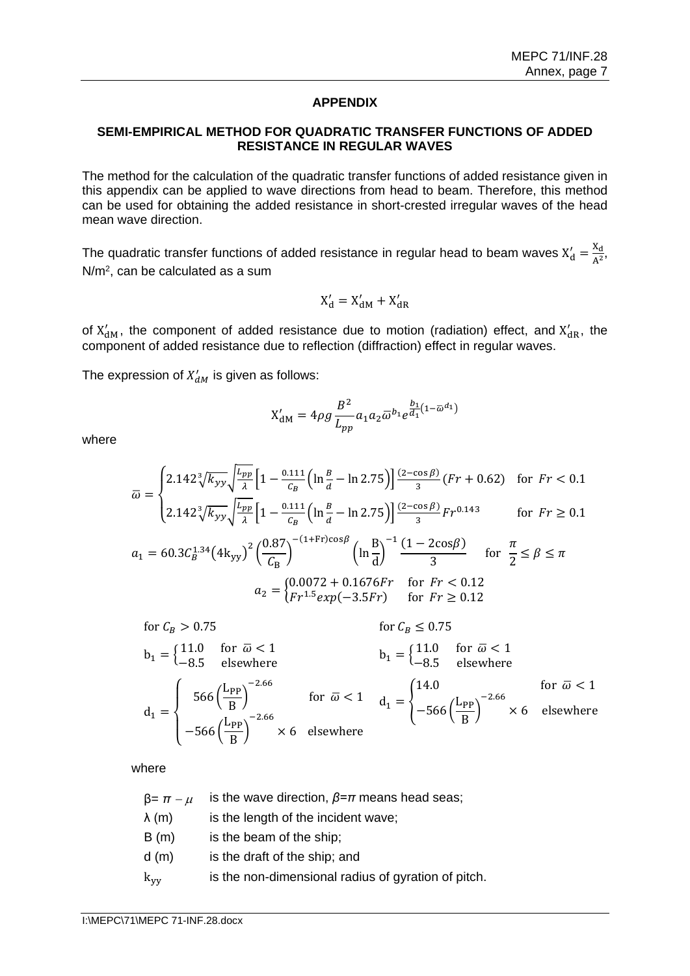#### **APPENDIX**

#### **SEMI-EMPIRICAL METHOD FOR QUADRATIC TRANSFER FUNCTIONS OF ADDED RESISTANCE IN REGULAR WAVES**

The method for the calculation of the quadratic transfer functions of added resistance given in this appendix can be applied to wave directions from head to beam. Therefore, this method can be used for obtaining the added resistance in short-crested irregular waves of the head mean wave direction.

The quadratic transfer functions of added resistance in regular head to beam waves  $X'_d = \frac{X_d}{\Delta^2}$  $\frac{\Delta d}{A^2}$ , N/m<sup>2</sup> , can be calculated as a sum

$$
X'_d = X'_{dM} + X'_{dR}
$$

of  $X'_{dM}$ , the component of added resistance due to motion (radiation) effect, and  $X'_{dR}$ , the component of added resistance due to reflection (diffraction) effect in regular waves.

The expression of  $X'_{dM}$  is given as follows:

$$
X'_{\rm dM} = 4\rho g \frac{B^2}{L_{pp}} a_1 a_2 \overline{\omega}^{b_1} e^{\frac{b_1}{d_1}(1 - \overline{\omega}^{d_1})}
$$

where

$$
\overline{\omega} = \begin{cases} 2.142 \sqrt[3]{k_{yy}} \sqrt{\frac{L_{pp}}{\lambda}} \left[ 1 - \frac{0.111}{C_B} \left( \ln \frac{B}{d} - \ln 2.75 \right) \right] \frac{(2 - \cos \beta)}{3} (Fr + 0.62) & \text{for } Fr < 0.1 \\ 2.142 \sqrt[3]{k_{yy}} \sqrt{\frac{L_{pp}}{\lambda}} \left[ 1 - \frac{0.111}{C_B} \left( \ln \frac{B}{d} - \ln 2.75 \right) \right] \frac{(2 - \cos \beta)}{3} Fr^{0.143} & \text{for } Fr \ge 0.1 \end{cases}
$$

$$
a_1 = 60.3 \, \mathcal{C}_B^{1.34} \left(4 \, \mathrm{kyy}\right)^2 \left(\frac{0.87}{\mathcal{C}_B}\right)^{-(1+\mathrm{Fr}) \cos \beta} \left(\ln \frac{B}{d}\right)^{-1} \frac{(1 - 2 \cos \beta)}{3} \quad \text{for } \frac{\pi}{2} \le \beta \le \pi
$$
\n
$$
a_2 = \begin{cases} 0.0072 + 0.1676Fr & \text{for } Fr < 0.12\\ Fr^{1.5} \exp(-3.5Fr) & \text{for } Fr \ge 0.12 \end{cases}
$$

for 
$$
C_B > 0.75
$$
  
\n
$$
b_1 =\begin{cases}\n11.0 & \text{for } \overline{\omega} < 1 \\
-8.5 & \text{elsewhere}\n\end{cases}
$$
\n
$$
d_1 =\begin{cases}\n566 \left(\frac{L_{PP}}{B}\right)^{-2.66} & \text{for } \overline{\omega} < 1 \\
-566 \left(\frac{L_{PP}}{B}\right)^{-2.66}\n\end{cases}
$$
\nfor  $\overline{\omega} < 1$  and  $d_1 =\begin{cases}\n14.0 & \text{for } \overline{\omega} < 1 \\
-566 \left(\frac{L_{PP}}{B}\right)^{-2.66}\n\end{cases}$ \n
$$
d_1 =\begin{cases}\n14.0 & \text{for } \overline{\omega} < 1 \\
-566 \left(\frac{L_{PP}}{B}\right)^{-2.66}\n\end{cases}
$$
\n
$$
d_2 =\begin{cases}\n14.0 & \text{for } \overline{\omega} < 1 \\
-566 \left(\frac{L_{PP}}{B}\right)^{-2.66}\n\end{cases}
$$
\n
$$
d_3 =\begin{cases}\n14.0 & \text{for } \overline{\omega} < 1 \\
-566 \left(\frac{L_{PP}}{B}\right)^{-2.66}\n\end{cases}
$$
\n
$$
d_4 =\begin{cases}\n14.0 & \text{for } \overline{\omega} < 1 \\
-566 \left(\frac{L_{PP}}{B}\right)^{-2.66}\n\end{cases}
$$

where

| $β = π - μ$   | is the wave direction, $\beta = \pi$ means head seas; |
|---------------|-------------------------------------------------------|
| λ (m)         | is the length of the incident wave;                   |
| B(m)          | is the beam of the ship;                              |
| d (m)         | is the draft of the ship; and                         |
| $\rm{k_{yy}}$ | is the non-dimensional radius of gyration of pitch.   |
|               |                                                       |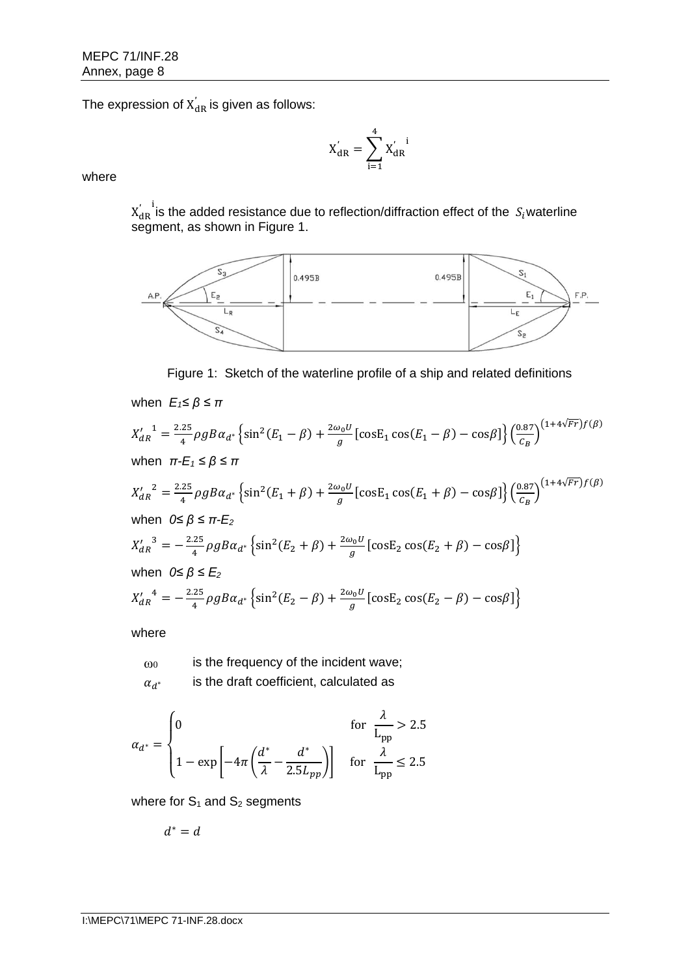The expression of  $\rm X_{dR}^{'}$  is given as follows: ′

$$
X_{\text{dR}}^{'}=\sum_{i=1}^{4}X_{\text{dR}}^{'\phantom{'},i}
$$

where

 $X^{'}_{\mathrm{dR}}$  is the added resistance due to reflection/diffraction effect of the  $\,S_{i}$ waterline ′ segment, as shown in Figure 1.



Figure 1: Sketch of the waterline profile of a ship and related definitions

when 
$$
E_1 \le \beta \le \pi
$$
  
\n
$$
X'_{dR}^{-1} = \frac{2.25}{4} \rho g B \alpha_{d^*} \left\{ \sin^2(E_1 - \beta) + \frac{2\omega_0 U}{g} \left[ \cos E_1 \cos(E_1 - \beta) - \cos \beta \right] \right\} \left( \frac{0.87}{C_B} \right)^{(1+4\sqrt{Fr})f(\beta)}
$$
\nwhen  $\pi$ - $E_1 \le \beta \le \pi$   
\n
$$
X'_{dR}^{-2} = \frac{2.25}{4} \rho g B \alpha_{d^*} \left\{ \sin^2(E_1 + \beta) + \frac{2\omega_0 U}{g} \left[ \cos E_1 \cos(E_1 + \beta) - \cos \beta \right] \right\} \left( \frac{0.87}{C_B} \right)^{(1+4\sqrt{Fr})f(\beta)}
$$
\nwhen  $0 \le \beta \le \pi$ - $E_2$   
\n
$$
X'_{dR}^{-3} = -\frac{2.25}{4} \rho g B \alpha_{d^*} \left\{ \sin^2(E_2 + \beta) + \frac{2\omega_0 U}{g} \left[ \cos E_2 \cos(E_2 + \beta) - \cos \beta \right] \right\}
$$
\nwhen  $0 \le \beta \le E_2$   
\n
$$
X'_{dR}^{-4} = -\frac{2.25}{4} \rho g B \alpha_{d^*} \left\{ \sin^2(E_2 - \beta) + \frac{2\omega_0 U}{g} \left[ \cos E_2 \cos(E_2 - \beta) - \cos \beta \right] \right\}
$$

where

 $\omega_0$  is the frequency of the incident wave;  $\alpha_{d^*}$ is the draft coefficient, calculated as

$$
\alpha_{d^*} = \begin{cases} 0 & \text{for } \frac{\lambda}{\text{L}_{\text{pp}}} > 2.5 \\ 1 - \exp\left[-4\pi \left(\frac{d^*}{\lambda} - \frac{d^*}{2.5L_{pp}}\right)\right] & \text{for } \frac{\lambda}{\text{L}_{\text{pp}}} \le 2.5 \end{cases}
$$

where for  $S_1$  and  $S_2$  segments

$$
d^*=d
$$